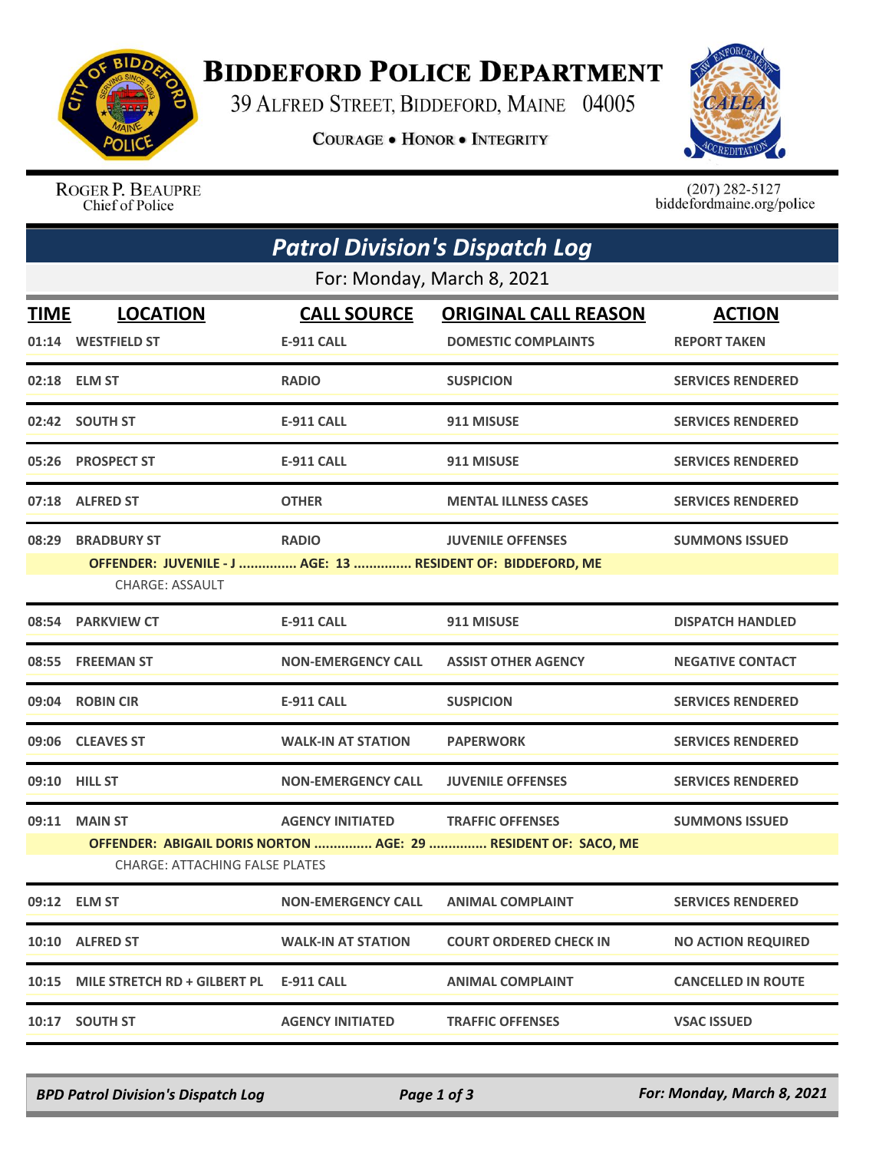

## **BIDDEFORD POLICE DEPARTMENT**

39 ALFRED STREET, BIDDEFORD, MAINE 04005

**COURAGE . HONOR . INTEGRITY** 



ROGER P. BEAUPRE Chief of Police

 $(207)$  282-5127<br>biddefordmaine.org/police

|                            | <b>Patrol Division's Dispatch Log</b>                                                                   |                           |                               |                           |  |  |  |  |
|----------------------------|---------------------------------------------------------------------------------------------------------|---------------------------|-------------------------------|---------------------------|--|--|--|--|
| For: Monday, March 8, 2021 |                                                                                                         |                           |                               |                           |  |  |  |  |
| <b>TIME</b>                | <b>LOCATION</b>                                                                                         | <b>CALL SOURCE</b>        | <b>ORIGINAL CALL REASON</b>   | <b>ACTION</b>             |  |  |  |  |
|                            | 01:14 WESTFIELD ST                                                                                      | <b>E-911 CALL</b>         | <b>DOMESTIC COMPLAINTS</b>    | <b>REPORT TAKEN</b>       |  |  |  |  |
|                            | 02:18 ELM ST                                                                                            | <b>RADIO</b>              | <b>SUSPICION</b>              | <b>SERVICES RENDERED</b>  |  |  |  |  |
|                            | 02:42 SOUTH ST                                                                                          | <b>E-911 CALL</b>         | 911 MISUSE                    | <b>SERVICES RENDERED</b>  |  |  |  |  |
|                            | 05:26 PROSPECT ST                                                                                       | <b>E-911 CALL</b>         | 911 MISUSE                    | <b>SERVICES RENDERED</b>  |  |  |  |  |
|                            | 07:18 ALFRED ST                                                                                         | <b>OTHER</b>              | <b>MENTAL ILLNESS CASES</b>   | <b>SERVICES RENDERED</b>  |  |  |  |  |
| 08:29                      | <b>BRADBURY ST</b>                                                                                      | <b>RADIO</b>              | <b>JUVENILE OFFENSES</b>      | <b>SUMMONS ISSUED</b>     |  |  |  |  |
|                            | OFFENDER: JUVENILE - J  AGE: 13  RESIDENT OF: BIDDEFORD, ME                                             |                           |                               |                           |  |  |  |  |
|                            | <b>CHARGE: ASSAULT</b>                                                                                  |                           |                               |                           |  |  |  |  |
|                            | 08:54 PARKVIEW CT                                                                                       | <b>E-911 CALL</b>         | 911 MISUSE                    | <b>DISPATCH HANDLED</b>   |  |  |  |  |
|                            | 08:55 FREEMAN ST                                                                                        | <b>NON-EMERGENCY CALL</b> | <b>ASSIST OTHER AGENCY</b>    | <b>NEGATIVE CONTACT</b>   |  |  |  |  |
| 09:04                      | <b>ROBIN CIR</b>                                                                                        | <b>E-911 CALL</b>         | <b>SUSPICION</b>              | <b>SERVICES RENDERED</b>  |  |  |  |  |
|                            | 09:06 CLEAVES ST                                                                                        | <b>WALK-IN AT STATION</b> | <b>PAPERWORK</b>              | <b>SERVICES RENDERED</b>  |  |  |  |  |
|                            | 09:10 HILL ST                                                                                           | <b>NON-EMERGENCY CALL</b> | <b>JUVENILE OFFENSES</b>      | <b>SERVICES RENDERED</b>  |  |  |  |  |
| 09:11                      | <b>MAIN ST</b>                                                                                          | <b>AGENCY INITIATED</b>   | <b>TRAFFIC OFFENSES</b>       | <b>SUMMONS ISSUED</b>     |  |  |  |  |
|                            | OFFENDER: ABIGAIL DORIS NORTON  AGE: 29  RESIDENT OF: SACO, ME<br><b>CHARGE: ATTACHING FALSE PLATES</b> |                           |                               |                           |  |  |  |  |
|                            | 09:12 ELM ST                                                                                            | <b>NON-EMERGENCY CALL</b> | <b>ANIMAL COMPLAINT</b>       | <b>SERVICES RENDERED</b>  |  |  |  |  |
|                            | 10:10 ALFRED ST                                                                                         | <b>WALK-IN AT STATION</b> | <b>COURT ORDERED CHECK IN</b> | <b>NO ACTION REQUIRED</b> |  |  |  |  |
| 10:15                      | MILE STRETCH RD + GILBERT PL                                                                            | <b>E-911 CALL</b>         | <b>ANIMAL COMPLAINT</b>       | <b>CANCELLED IN ROUTE</b> |  |  |  |  |
| 10:17                      | <b>SOUTH ST</b>                                                                                         | <b>AGENCY INITIATED</b>   | <b>TRAFFIC OFFENSES</b>       | <b>VSAC ISSUED</b>        |  |  |  |  |

*BPD Patrol Division's Dispatch Log Page 1 of 3 For: Monday, March 8, 2021*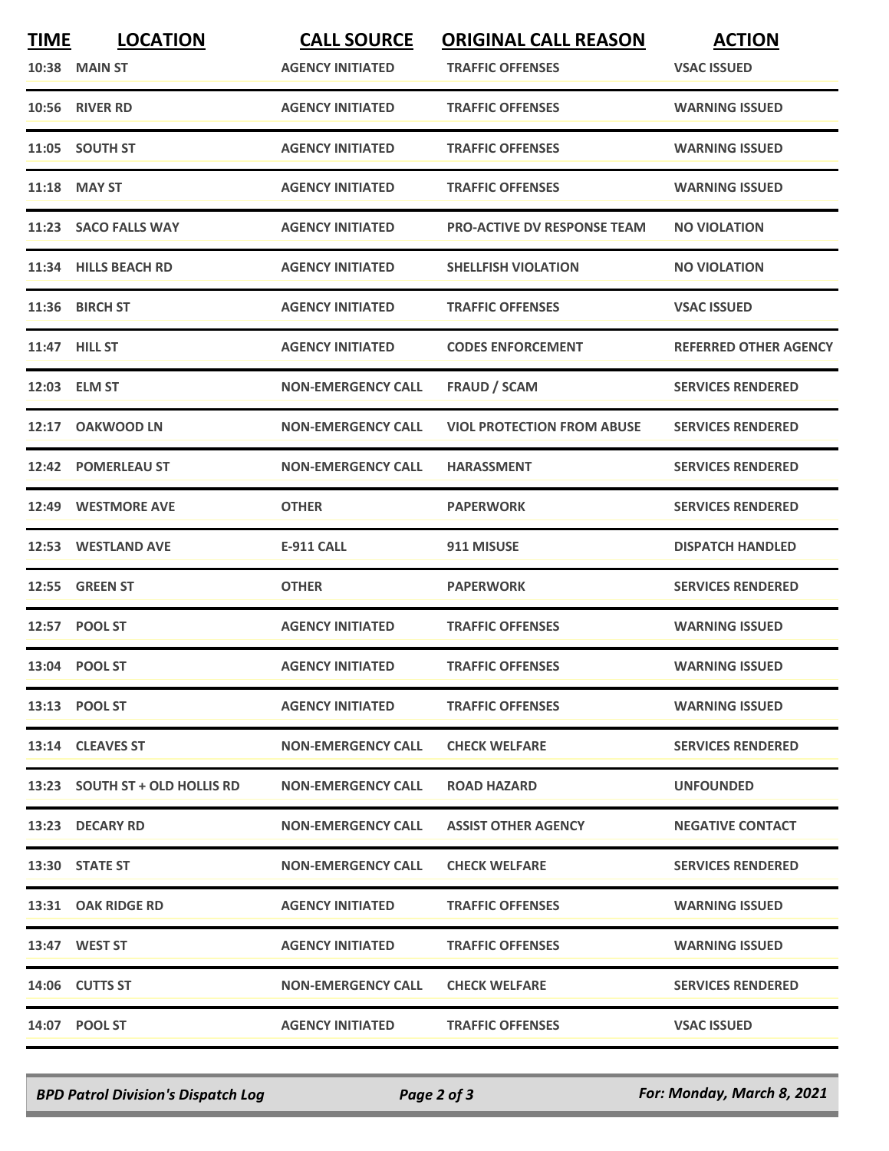| <b>TIME</b> | <b>LOCATION</b>                | <b>CALL SOURCE</b>        | <b>ORIGINAL CALL REASON</b>        | <b>ACTION</b>                |
|-------------|--------------------------------|---------------------------|------------------------------------|------------------------------|
|             | <b>10:38 MAIN ST</b>           | <b>AGENCY INITIATED</b>   | <b>TRAFFIC OFFENSES</b>            | <b>VSAC ISSUED</b>           |
| 10:56       | <b>RIVER RD</b>                | <b>AGENCY INITIATED</b>   | <b>TRAFFIC OFFENSES</b>            | <b>WARNING ISSUED</b>        |
|             | 11:05 SOUTH ST                 | <b>AGENCY INITIATED</b>   | <b>TRAFFIC OFFENSES</b>            | <b>WARNING ISSUED</b>        |
| 11:18       | <b>MAY ST</b>                  | <b>AGENCY INITIATED</b>   | <b>TRAFFIC OFFENSES</b>            | <b>WARNING ISSUED</b>        |
|             | 11:23 SACO FALLS WAY           | <b>AGENCY INITIATED</b>   | <b>PRO-ACTIVE DV RESPONSE TEAM</b> | <b>NO VIOLATION</b>          |
|             | 11:34 HILLS BEACH RD           | <b>AGENCY INITIATED</b>   | SHELLFISH VIOLATION                | <b>NO VIOLATION</b>          |
| 11:36       | <b>BIRCH ST</b>                | <b>AGENCY INITIATED</b>   | <b>TRAFFIC OFFENSES</b>            | <b>VSAC ISSUED</b>           |
|             | 11:47 HILL ST                  | <b>AGENCY INITIATED</b>   | <b>CODES ENFORCEMENT</b>           | <b>REFERRED OTHER AGENCY</b> |
|             | 12:03 ELM ST                   | <b>NON-EMERGENCY CALL</b> | <b>FRAUD / SCAM</b>                | <b>SERVICES RENDERED</b>     |
| 12:17       | <b>OAKWOOD LN</b>              | <b>NON-EMERGENCY CALL</b> | <b>VIOL PROTECTION FROM ABUSE</b>  | <b>SERVICES RENDERED</b>     |
| 12:42       | <b>POMERLEAU ST</b>            | <b>NON-EMERGENCY CALL</b> | <b>HARASSMENT</b>                  | <b>SERVICES RENDERED</b>     |
|             | 12:49 WESTMORE AVE             | <b>OTHER</b>              | <b>PAPERWORK</b>                   | <b>SERVICES RENDERED</b>     |
| 12:53       | <b>WESTLAND AVE</b>            | E-911 CALL                | 911 MISUSE                         | <b>DISPATCH HANDLED</b>      |
| 12:55       | <b>GREEN ST</b>                | <b>OTHER</b>              | <b>PAPERWORK</b>                   | <b>SERVICES RENDERED</b>     |
|             | 12:57 POOL ST                  | <b>AGENCY INITIATED</b>   | <b>TRAFFIC OFFENSES</b>            | <b>WARNING ISSUED</b>        |
|             | 13:04 POOL ST                  | <b>AGENCY INITIATED</b>   | <b>TRAFFIC OFFENSES</b>            | <b>WARNING ISSUED</b>        |
|             | 13:13 POOL ST                  | <b>AGENCY INITIATED</b>   | <b>TRAFFIC OFFENSES</b>            | <b>WARNING ISSUED</b>        |
|             | 13:14 CLEAVES ST               | <b>NON-EMERGENCY CALL</b> | <b>CHECK WELFARE</b>               | <b>SERVICES RENDERED</b>     |
|             | 13:23 SOUTH ST + OLD HOLLIS RD | <b>NON-EMERGENCY CALL</b> | <b>ROAD HAZARD</b>                 | <b>UNFOUNDED</b>             |
|             | 13:23 DECARY RD                | <b>NON-EMERGENCY CALL</b> | <b>ASSIST OTHER AGENCY</b>         | <b>NEGATIVE CONTACT</b>      |
|             | 13:30 STATE ST                 | <b>NON-EMERGENCY CALL</b> | <b>CHECK WELFARE</b>               | <b>SERVICES RENDERED</b>     |
|             | 13:31 OAK RIDGE RD             | <b>AGENCY INITIATED</b>   | <b>TRAFFIC OFFENSES</b>            | <b>WARNING ISSUED</b>        |
|             | 13:47 WEST ST                  | <b>AGENCY INITIATED</b>   | <b>TRAFFIC OFFENSES</b>            | <b>WARNING ISSUED</b>        |
|             | 14:06 CUTTS ST                 | <b>NON-EMERGENCY CALL</b> | <b>CHECK WELFARE</b>               | <b>SERVICES RENDERED</b>     |
|             | 14:07 POOL ST                  | <b>AGENCY INITIATED</b>   | <b>TRAFFIC OFFENSES</b>            | <b>VSAC ISSUED</b>           |

*BPD Patrol Division's Dispatch Log Page 2 of 3 For: Monday, March 8, 2021*